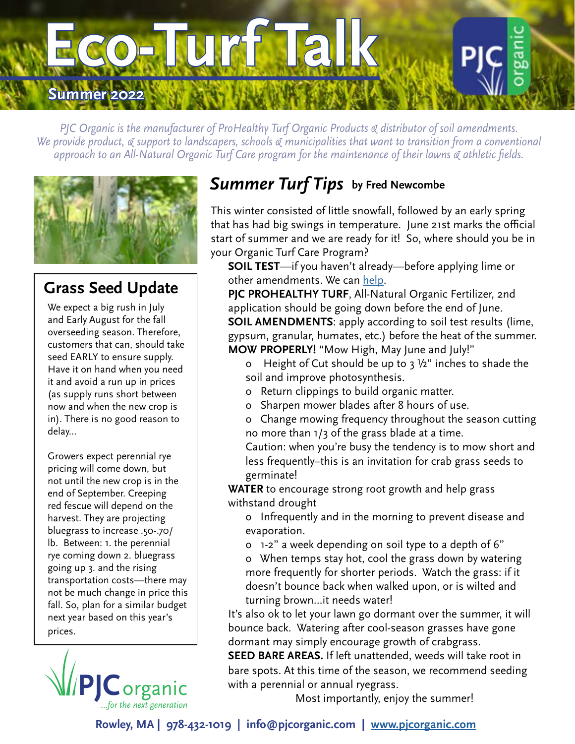

*PJC Organic is the manufacturer of ProHealthy Turf Organic Products & distributor of soil amendments. We provide product, & support to landscapers, schools & municipalities that want to transition from a conventional approach to an All-Natural Organic Turf Care program for the maintenance of their lawns & athletic fields.*



## **Grass Seed Update**

We expect a big rush in July and Early August for the fall overseeding season. Therefore, customers that can, should take seed EARLY to ensure supply. Have it on hand when you need it and avoid a run up in prices (as supply runs short between now and when the new crop is in). There is no good reason to delay...

Growers expect perennial rye pricing will come down, but not until the new crop is in the end of September. Creeping red fescue will depend on the harvest. They are projecting bluegrass to increase .50-.70/ lb. Between: 1. the perennial rye coming down 2. bluegrass going up 3. and the rising transportation costs—there may not be much change in price this fall. So, plan for a similar budget next year based on this year's prices.



# *Summer Turf Tips* **by Fred Newcombe**

This winter consisted of little snowfall, followed by an early spring that has had big swings in temperature. June 21st marks the official start of summer and we are ready for it! So, where should you be in your Organic Turf Care Program?

**SOIL TEST**—if you haven't already—before applying lime or other amendments. We can [help.](https://pjcorganic.com/product/soil-testing/)

**PJC PROHEALTHY TURF**, All-Natural Organic Fertilizer, 2nd application should be going down before the end of June. **SOIL AMENDMENTS**: apply according to soil test results (lime, gypsum, granular, humates, etc.) before the heat of the summer. **MOW PROPERLY!** "Mow High, May June and July!"

- o Height of Cut should be up to  $3\frac{1}{2}$ " inches to shade the soil and improve photosynthesis.
- o Return clippings to build organic matter.
- o Sharpen mower blades after 8 hours of use.
- o Change mowing frequency throughout the season cutting no more than 1/3 of the grass blade at a time.
- Caution: when you're busy the tendency is to mow short and less frequently–this is an invitation for crab grass seeds to germinate!

**WATER** to encourage strong root growth and help grass withstand drought

- o Infrequently and in the morning to prevent disease and evaporation.
- o 1-2" a week depending on soil type to a depth of 6"

o When temps stay hot, cool the grass down by watering more frequently for shorter periods. Watch the grass: if it doesn't bounce back when walked upon, or is wilted and turning brown…it needs water!

It's also ok to let your lawn go dormant over the summer, it will bounce back. Watering after cool-season grasses have gone dormant may simply encourage growth of crabgrass.

**SEED BARE AREAS.** If left unattended, weeds will take root in bare spots. At this time of the season, we recommend seeding with a perennial or annual ryegrass.

Most importantly, enjoy the summer!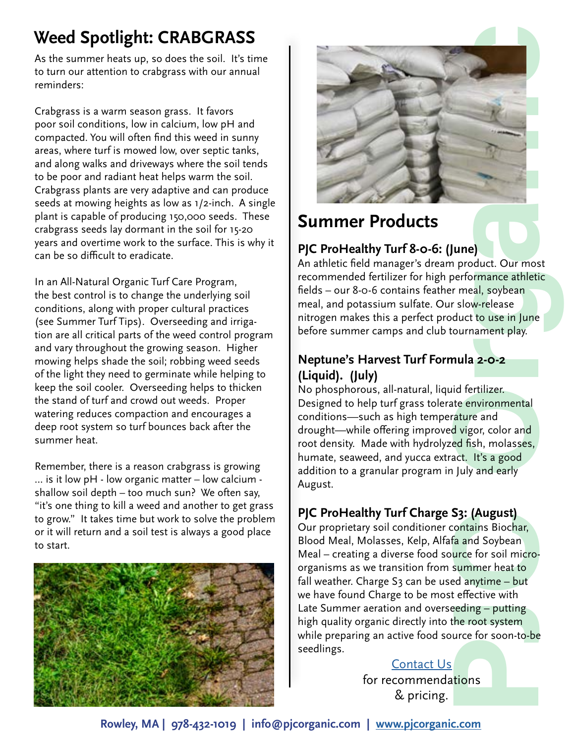# **Weed Spotlight: CRABGRASS**

As the summer heats up, so does the soil. It's time to turn our attention to crabgrass with our annual reminders:

Crabgrass is a warm season grass. It favors poor soil conditions, low in calcium, low pH and compacted. You will often find this weed in sunny areas, where turf is mowed low, over septic tanks, and along walks and driveways where the soil tends to be poor and radiant heat helps warm the soil. Crabgrass plants are very adaptive and can produce seeds at mowing heights as low as 1/2-inch. A single plant is capable of producing 150,000 seeds. These crabgrass seeds lay dormant in the soil for 15-20 years and overtime work to the surface. This is why it can be so difficult to eradicate.

In an All-Natural Organic Turf Care Program, the best control is to change the underlying soil conditions, along with proper cultural practices (see Summer Turf Tips). Overseeding and irrigation are all critical parts of the weed control program and vary throughout the growing season. Higher mowing helps shade the soil; robbing weed seeds of the light they need to germinate while helping to keep the soil cooler. Overseeding helps to thicken the stand of turf and crowd out weeds. Proper watering reduces compaction and encourages a deep root system so turf bounces back after the summer heat.

Remember, there is a reason crabgrass is growing … is it low pH - low organic matter – low calcium shallow soil depth – too much sun? We often say, "it's one thing to kill a weed and another to get grass to grow." It takes time but work to solve the problem or it will return and a soil test is always a good place to start.





# **Summer Products**

#### **PJC ProHealthy Turf 8-0-6: (June)**

An athletic field manager's dream product. Our most recommended fertilizer for high performance athletic fields – our 8-0-6 contains feather meal, soybean meal, and potassium sulfate. Our slow-release nitrogen makes this a perfect product to use in June before summer camps and club tournament play.

#### **Neptune's Harvest Turf Formula 2-0-2 (Liquid). (July)**

No phosphorous, all-natural, liquid fertilizer. Designed to help turf grass tolerate environmental conditions—such as high temperature and drought—while offering improved vigor, color and root density. Made with hydrolyzed fish, molasses, humate, seaweed, and yucca extract. It's a good addition to a granular program in July and early August.

#### **PJC ProHealthy Turf Charge S3: (August)**

Our proprietary soil conditioner contains Biochar, Blood Meal, Molasses, Kelp, Alfafa and Soybean Meal – creating a diverse food source for soil microorganisms as we transition from summer heat to fall weather. Charge  $S_3$  can be used anytime – but we have found Charge to be most effective with Late Summer aeration and overseeding – putting high quality organic directly into the root system while preparing an active food source for soon-to-be seedlings.

# [Contact Us](https://pjcorganic.com/contact/)

for recommendations & pricing.